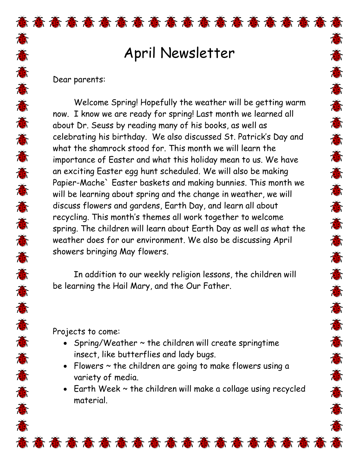## April Newsletter

意

感苏意志意意意意意意意意意意意意意意意意

**存在存在者存在存在存在存在存在存在存在** 

## Dear parents:

意

苏苏苏苏苏苏苏苏苏苏苏苏苏苏苏苏苏苏苏苏

Welcome Spring! Hopefully the weather will be getting warm now. I know we are ready for spring! Last month we learned all about Dr. Seuss by reading many of his books, as well as celebrating his birthday. We also discussed St. Patrick's Day and what the shamrock stood for. This month we will learn the importance of Easter and what this holiday mean to us. We have an exciting Easter egg hunt scheduled. We will also be making Papier-Mache` Easter baskets and making bunnies. This month we will be learning about spring and the change in weather, we will discuss flowers and gardens, Earth Day, and learn all about recycling. This month's themes all work together to welcome spring. The children will learn about Earth Day as well as what the weather does for our environment. We also be discussing April showers bringing May flowers.

In addition to our weekly religion lessons, the children will be learning the Hail Mary, and the Our Father.

Projects to come:

- Spring/Weather  $\sim$  the children will create springtime insect, like butterflies and lady bugs.
- Flowers ~ the children are going to make flowers using a variety of media.

意意意意意意意意意意意意意意意意意意意

• Earth Week ~ the children will make a collage using recycled material.